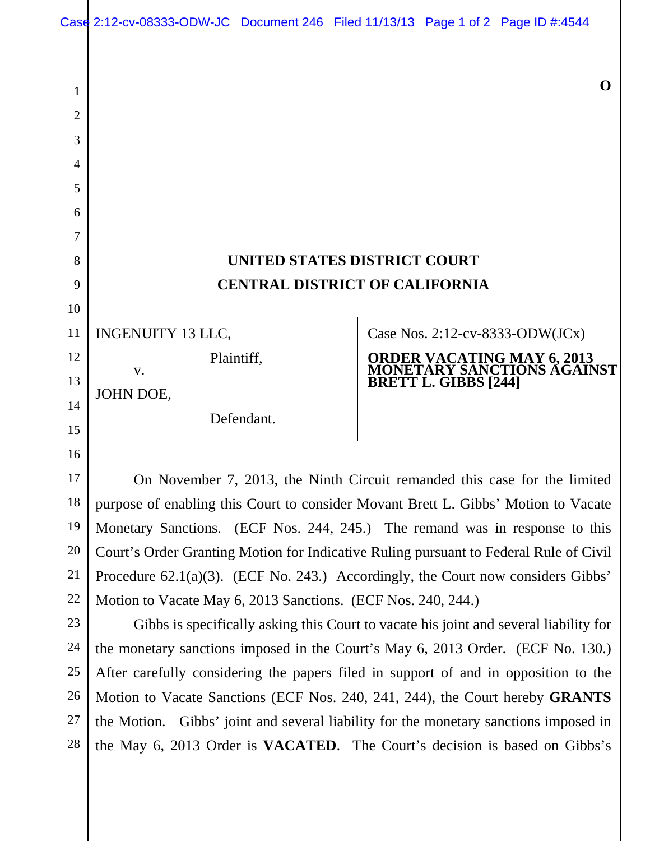## **UNITED STATES DISTRICT COURT CENTRAL DISTRICT OF CALIFORNIA**

INGENUITY 13 LLC,

 v. JOHN DOE,

Defendant.

Plaintiff,

Case Nos. 2:12-cv-8333-ODW(JCx)

## **ORDER VACATING MAY 6, 2013 MONETARY SANCTIONS AGAINST BRETT L. GIBBS [244]**

On November 7, 2013, the Ninth Circuit remanded this case for the limited purpose of enabling this Court to consider Movant Brett L. Gibbs' Motion to Vacate Monetary Sanctions. (ECF Nos. 244, 245.) The remand was in response to this Court's Order Granting Motion for Indicative Ruling pursuant to Federal Rule of Civil Procedure 62.1(a)(3). (ECF No. 243.) Accordingly, the Court now considers Gibbs' Motion to Vacate May 6, 2013 Sanctions. (ECF Nos. 240, 244.)

Gibbs is specifically asking this Court to vacate his joint and several liability for the monetary sanctions imposed in the Court's May 6, 2013 Order. (ECF No. 130.) After carefully considering the papers filed in support of and in opposition to the Motion to Vacate Sanctions (ECF Nos. 240, 241, 244), the Court hereby **GRANTS**  the Motion. Gibbs' joint and several liability for the monetary sanctions imposed in the May 6, 2013 Order is **VACATED**. The Court's decision is based on Gibbs's

1

2

3

4

5

**O**